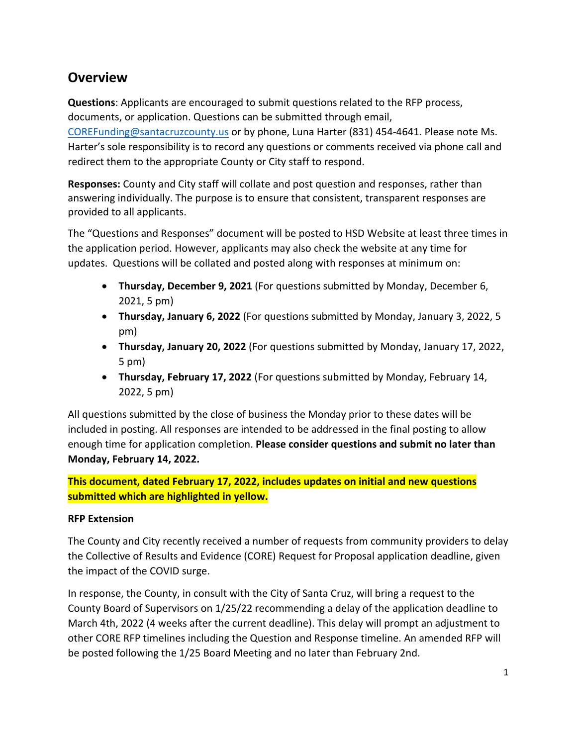## **Overview**

**Questions**: Applicants are encouraged to submit questions related to the RFP process, documents, or application. Questions can be submitted through email, [COREFunding@santacruzcounty.us](mailto:COREFunding@santacruzcounty.us) or by phone, Luna Harter (831) 454-4641. Please note Ms. Harter's sole responsibility is to record any questions or comments received via phone call and redirect them to the appropriate County or City staff to respond.

**Responses:** County and City staff will collate and post question and responses, rather than answering individually. The purpose is to ensure that consistent, transparent responses are provided to all applicants.

The "Questions and Responses" document will be posted to HSD Website at least three times in the application period. However, applicants may also check the website at any time for updates. Questions will be collated and posted along with responses at minimum on:

- **Thursday, December 9, 2021** (For questions submitted by Monday, December 6, 2021, 5 pm)
- **Thursday, January 6, 2022** (For questions submitted by Monday, January 3, 2022, 5 pm)
- **Thursday, January 20, 2022** (For questions submitted by Monday, January 17, 2022, 5 pm)
- **Thursday, February 17, 2022** (For questions submitted by Monday, February 14, 2022, 5 pm)

All questions submitted by the close of business the Monday prior to these dates will be included in posting. All responses are intended to be addressed in the final posting to allow enough time for application completion. **Please consider questions and submit no later than Monday, February 14, 2022.**

**This document, dated February 17, 2022, includes updates on initial and new questions submitted which are highlighted in yellow.**

#### **RFP Extension**

The County and City recently received a number of requests from community providers to delay the Collective of Results and Evidence (CORE) Request for Proposal application deadline, given the impact of the COVID surge.

In response, the County, in consult with the City of Santa Cruz, will bring a request to the County Board of Supervisors on 1/25/22 recommending a delay of the application deadline to March 4th, 2022 (4 weeks after the current deadline). This delay will prompt an adjustment to other CORE RFP timelines including the Question and Response timeline. An amended RFP will be posted following the 1/25 Board Meeting and no later than February 2nd.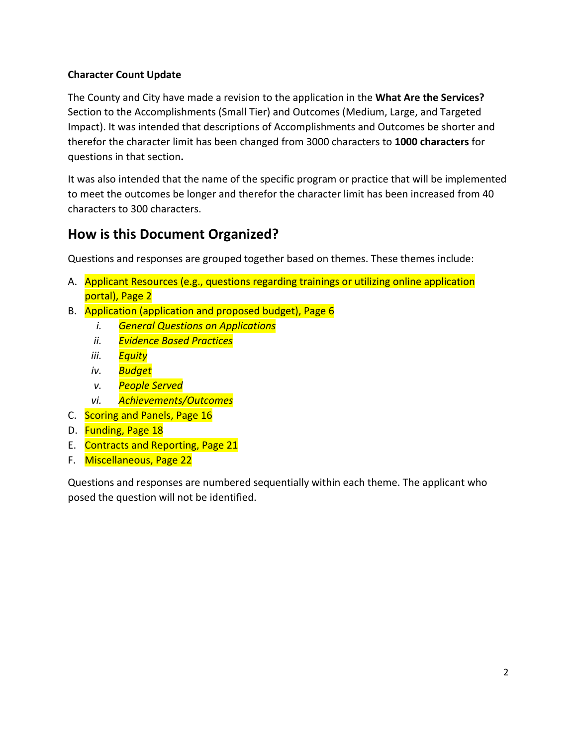### **Character Count Update**

The County and City have made a revision to the application in the **What Are the Services?**  Section to the Accomplishments (Small Tier) and Outcomes (Medium, Large, and Targeted Impact). It was intended that descriptions of Accomplishments and Outcomes be shorter and therefor the character limit has been changed from 3000 characters to **1000 characters** for questions in that section**.**

It was also intended that the name of the specific program or practice that will be implemented to meet the outcomes be longer and therefor the character limit has been increased from 40 characters to 300 characters.

## **How is this Document Organized?**

Questions and responses are grouped together based on themes. These themes include:

- A. Applicant Resources (e.g., questions regarding trainings or utilizing online application portal), Page 2
- B. Application (application and proposed budget), Page 6
	- *i. General Questions on Applications*
	- *ii. Evidence Based Practices*
	- *iii. Equity*
	- *iv. Budget*
	- *v. People Served*
	- *vi. Achievements/Outcomes*
- C. Scoring and Panels, Page 16
- D. Funding, Page 18
- E. Contracts and Reporting, Page 21
- F. Miscellaneous, Page 22

Questions and responses are numbered sequentially within each theme. The applicant who posed the question will not be identified.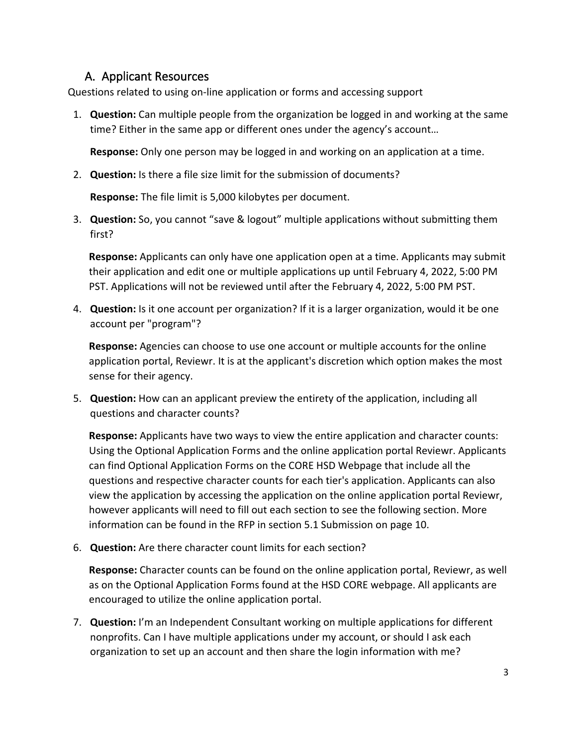### A. Applicant Resources

Questions related to using on-line application or forms and accessing support

1. **Question:** Can multiple people from the organization be logged in and working at the same time? Either in the same app or different ones under the agency's account…

**Response:** Only one person may be logged in and working on an application at a time.

2. **Question:** Is there a file size limit for the submission of documents?

**Response:** The file limit is 5,000 kilobytes per document.

3. **Question:** So, you cannot "save & logout" multiple applications without submitting them first?

**Response:** Applicants can only have one application open at a time. Applicants may submit their application and edit one or multiple applications up until February 4, 2022, 5:00 PM PST. Applications will not be reviewed until after the February 4, 2022, 5:00 PM PST.

4. **Question:** Is it one account per organization? If it is a larger organization, would it be one account per "program"?

**Response:** Agencies can choose to use one account or multiple accounts for the online application portal, Reviewr. It is at the applicant's discretion which option makes the most sense for their agency.

5. **Question:** How can an applicant preview the entirety of the application, including all questions and character counts?

**Response:** Applicants have two ways to view the entire application and character counts: Using the Optional Application Forms and the online application portal Reviewr. Applicants can find Optional Application Forms on the CORE HSD Webpage that include all the questions and respective character counts for each tier's application. Applicants can also view the application by accessing the application on the online application portal Reviewr, however applicants will need to fill out each section to see the following section. More information can be found in the RFP in section 5.1 Submission on page 10.

6. **Question:** Are there character count limits for each section?

**Response:** Character counts can be found on the online application portal, Reviewr, as well as on the Optional Application Forms found at the HSD CORE webpage. All applicants are encouraged to utilize the online application portal.

7. **Question:** I'm an Independent Consultant working on multiple applications for different nonprofits. Can I have multiple applications under my account, or should I ask each organization to set up an account and then share the login information with me?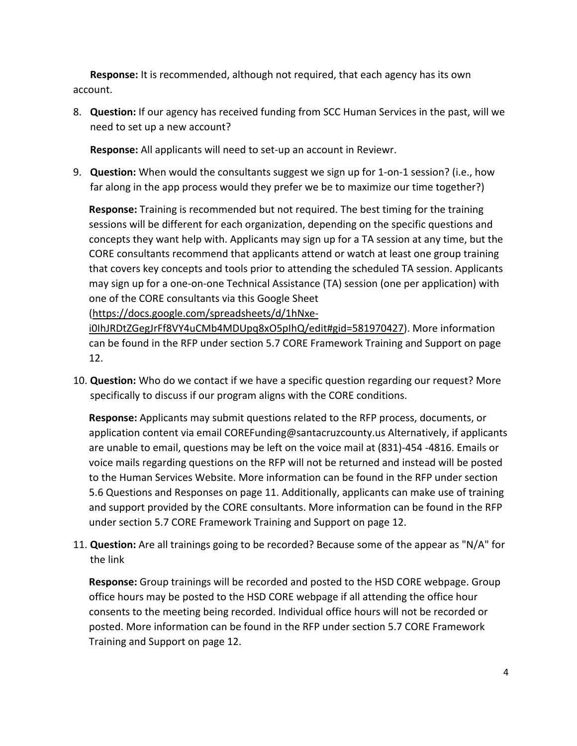**Response:** It is recommended, although not required, that each agency has its own account.

8. **Question:** If our agency has received funding from SCC Human Services in the past, will we need to set up a new account?

**Response:** All applicants will need to set-up an account in Reviewr.

9. **Question:** When would the consultants suggest we sign up for 1-on-1 session? (i.e., how far along in the app process would they prefer we be to maximize our time together?)

**Response:** Training is recommended but not required. The best timing for the training sessions will be different for each organization, depending on the specific questions and concepts they want help with. Applicants may sign up for a TA session at any time, but the CORE consultants recommend that applicants attend or watch at least one group training that covers key concepts and tools prior to attending the scheduled TA session. Applicants may sign up for a one-on-one Technical Assistance (TA) session (one per application) with one of the CORE consultants via this Google Sheet

[\(https://docs.google.com/spreadsheets/d/1hNxe-](https://docs.google.com/spreadsheets/d/1hNxe-i0IhJRDtZGegJrFf8VY4uCMb4MDUpq8xO5pIhQ/edit#gid=581970427)

[i0IhJRDtZGegJrFf8VY4uCMb4MDUpq8xO5pIhQ/edit#gid=581970427\)](https://docs.google.com/spreadsheets/d/1hNxe-i0IhJRDtZGegJrFf8VY4uCMb4MDUpq8xO5pIhQ/edit#gid=581970427). More information can be found in the RFP under section 5.7 CORE Framework Training and Support on page 12.

10. **Question:** Who do we contact if we have a specific question regarding our request? More specifically to discuss if our program aligns with the CORE conditions.

**Response:** Applicants may submit questions related to the RFP process, documents, or application content via email COREFunding@santacruzcounty.us Alternatively, if applicants are unable to email, questions may be left on the voice mail at (831)-454 -4816. Emails or voice mails regarding questions on the RFP will not be returned and instead will be posted to the Human Services Website. More information can be found in the RFP under section 5.6 Questions and Responses on page 11. Additionally, applicants can make use of training and support provided by the CORE consultants. More information can be found in the RFP under section 5.7 CORE Framework Training and Support on page 12.

11. **Question:** Are all trainings going to be recorded? Because some of the appear as "N/A" for the link

**Response:** Group trainings will be recorded and posted to the HSD CORE webpage. Group office hours may be posted to the HSD CORE webpage if all attending the office hour consents to the meeting being recorded. Individual office hours will not be recorded or posted. More information can be found in the RFP under section 5.7 CORE Framework Training and Support on page 12.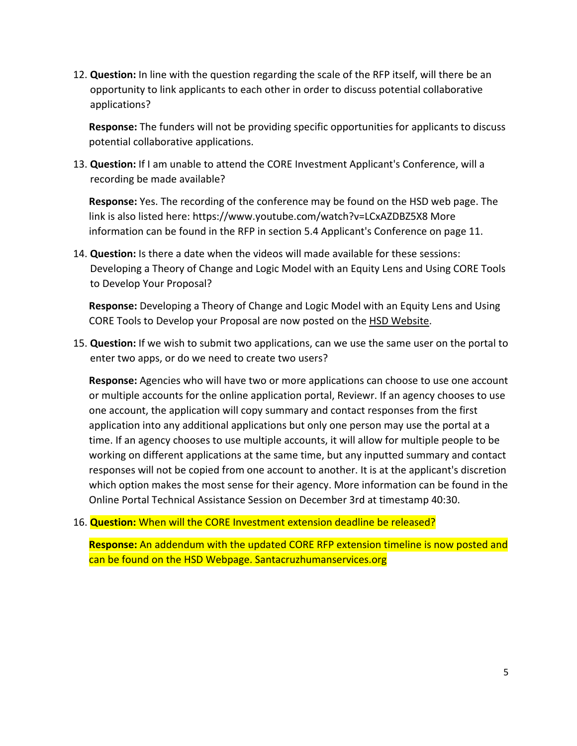12. **Question:** In line with the question regarding the scale of the RFP itself, will there be an opportunity to link applicants to each other in order to discuss potential collaborative applications?

**Response:** The funders will not be providing specific opportunities for applicants to discuss potential collaborative applications.

13. **Question:** If I am unable to attend the CORE Investment Applicant's Conference, will a recording be made available?

**Response:** Yes. The recording of the conference may be found on the HSD web page. The link is also listed here: https://www.youtube.com/watch?v=LCxAZDBZ5X8 More information can be found in the RFP in section 5.4 Applicant's Conference on page 11.

14. **Question:** Is there a date when the videos will made available for these sessions: Developing a Theory of Change and Logic Model with an Equity Lens and Using CORE Tools to Develop Your Proposal?

**Response:** Developing a Theory of Change and Logic Model with an Equity Lens and Using CORE Tools to Develop your Proposal are now posted on the [HSD Website.](https://santacruzhumanservices.org/Home/FundingOpportunities/RequestforProposals/COREInvestments)

15. **Question:** If we wish to submit two applications, can we use the same user on the portal to enter two apps, or do we need to create two users?

**Response:** Agencies who will have two or more applications can choose to use one account or multiple accounts for the online application portal, Reviewr. If an agency chooses to use one account, the application will copy summary and contact responses from the first application into any additional applications but only one person may use the portal at a time. If an agency chooses to use multiple accounts, it will allow for multiple people to be working on different applications at the same time, but any inputted summary and contact responses will not be copied from one account to another. It is at the applicant's discretion which option makes the most sense for their agency. More information can be found in the Online Portal Technical Assistance Session on December 3rd at timestamp 40:30.

#### 16. **Question:** When will the CORE Investment extension deadline be released?

**Response:** An addendum with the updated CORE RFP extension timeline is now posted and can be found on the HSD Webpage. Santacruzhumanservices.org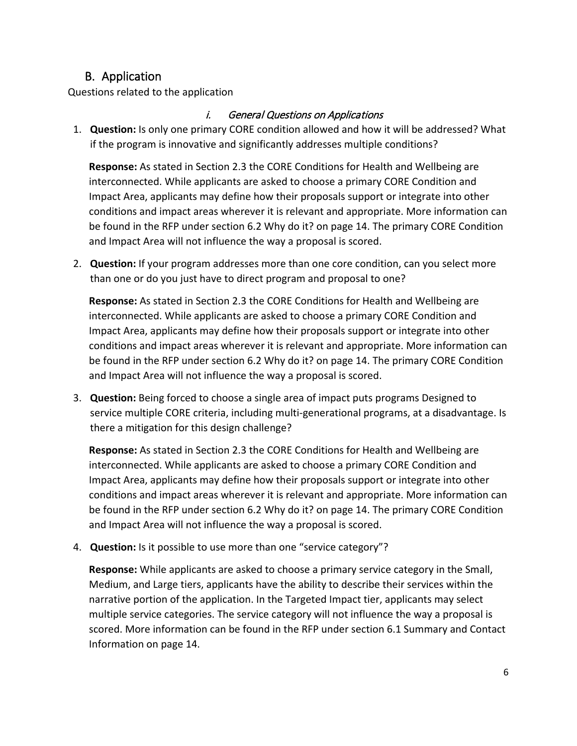## B. Application

Questions related to the application

### i. General Questions on Applications

1. **Question:** Is only one primary CORE condition allowed and how it will be addressed? What if the program is innovative and significantly addresses multiple conditions?

**Response:** As stated in Section 2.3 the CORE Conditions for Health and Wellbeing are interconnected. While applicants are asked to choose a primary CORE Condition and Impact Area, applicants may define how their proposals support or integrate into other conditions and impact areas wherever it is relevant and appropriate. More information can be found in the RFP under section 6.2 Why do it? on page 14. The primary CORE Condition and Impact Area will not influence the way a proposal is scored.

2. **Question:** If your program addresses more than one core condition, can you select more than one or do you just have to direct program and proposal to one?

**Response:** As stated in Section 2.3 the CORE Conditions for Health and Wellbeing are interconnected. While applicants are asked to choose a primary CORE Condition and Impact Area, applicants may define how their proposals support or integrate into other conditions and impact areas wherever it is relevant and appropriate. More information can be found in the RFP under section 6.2 Why do it? on page 14. The primary CORE Condition and Impact Area will not influence the way a proposal is scored.

3. **Question:** Being forced to choose a single area of impact puts programs Designed to service multiple CORE criteria, including multi-generational programs, at a disadvantage. Is there a mitigation for this design challenge?

**Response:** As stated in Section 2.3 the CORE Conditions for Health and Wellbeing are interconnected. While applicants are asked to choose a primary CORE Condition and Impact Area, applicants may define how their proposals support or integrate into other conditions and impact areas wherever it is relevant and appropriate. More information can be found in the RFP under section 6.2 Why do it? on page 14. The primary CORE Condition and Impact Area will not influence the way a proposal is scored.

4. **Question:** Is it possible to use more than one "service category"?

**Response:** While applicants are asked to choose a primary service category in the Small, Medium, and Large tiers, applicants have the ability to describe their services within the narrative portion of the application. In the Targeted Impact tier, applicants may select multiple service categories. The service category will not influence the way a proposal is scored. More information can be found in the RFP under section 6.1 Summary and Contact Information on page 14.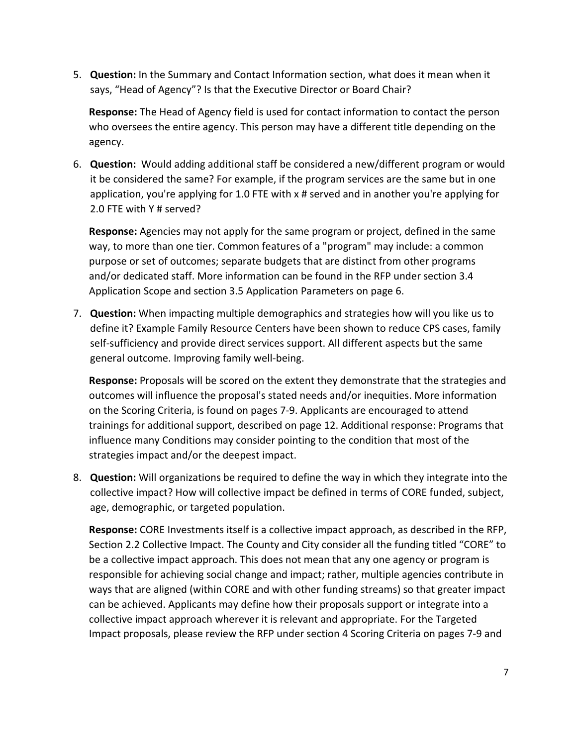5. **Question:** In the Summary and Contact Information section, what does it mean when it says, "Head of Agency"? Is that the Executive Director or Board Chair?

**Response:** The Head of Agency field is used for contact information to contact the person who oversees the entire agency. This person may have a different title depending on the agency.

6. **Question:** Would adding additional staff be considered a new/different program or would it be considered the same? For example, if the program services are the same but in one application, you're applying for 1.0 FTE with x # served and in another you're applying for 2.0 FTE with Y # served?

**Response:** Agencies may not apply for the same program or project, defined in the same way, to more than one tier. Common features of a "program" may include: a common purpose or set of outcomes; separate budgets that are distinct from other programs and/or dedicated staff. More information can be found in the RFP under section 3.4 Application Scope and section 3.5 Application Parameters on page 6.

7. **Question:** When impacting multiple demographics and strategies how will you like us to define it? Example Family Resource Centers have been shown to reduce CPS cases, family self-sufficiency and provide direct services support. All different aspects but the same general outcome. Improving family well-being.

**Response:** Proposals will be scored on the extent they demonstrate that the strategies and outcomes will influence the proposal's stated needs and/or inequities. More information on the Scoring Criteria, is found on pages 7-9. Applicants are encouraged to attend trainings for additional support, described on page 12. Additional response: Programs that influence many Conditions may consider pointing to the condition that most of the strategies impact and/or the deepest impact.

8. **Question:** Will organizations be required to define the way in which they integrate into the collective impact? How will collective impact be defined in terms of CORE funded, subject, age, demographic, or targeted population.

**Response:** CORE Investments itself is a collective impact approach, as described in the RFP, Section 2.2 Collective Impact. The County and City consider all the funding titled "CORE" to be a collective impact approach. This does not mean that any one agency or program is responsible for achieving social change and impact; rather, multiple agencies contribute in ways that are aligned (within CORE and with other funding streams) so that greater impact can be achieved. Applicants may define how their proposals support or integrate into a collective impact approach wherever it is relevant and appropriate. For the Targeted Impact proposals, please review the RFP under section 4 Scoring Criteria on pages 7-9 and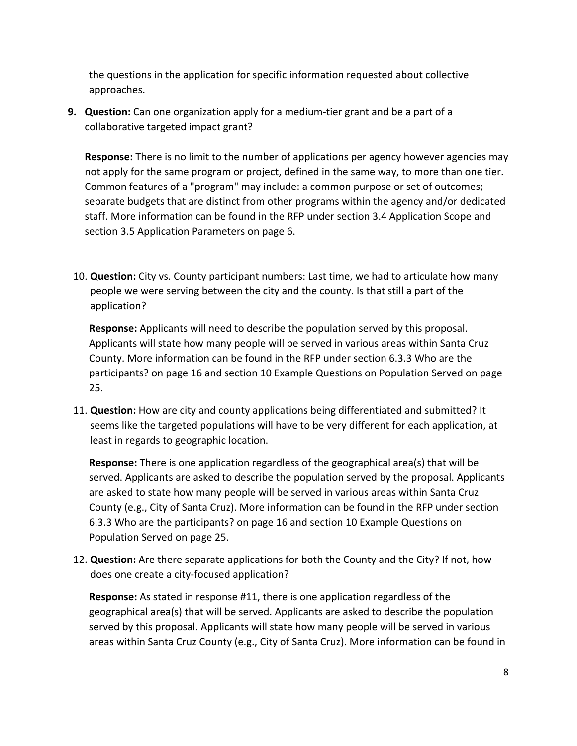the questions in the application for specific information requested about collective approaches.

**9. Question:** Can one organization apply for a medium-tier grant and be a part of a collaborative targeted impact grant?

**Response:** There is no limit to the number of applications per agency however agencies may not apply for the same program or project, defined in the same way, to more than one tier. Common features of a "program" may include: a common purpose or set of outcomes; separate budgets that are distinct from other programs within the agency and/or dedicated staff. More information can be found in the RFP under section 3.4 Application Scope and section 3.5 Application Parameters on page 6.

10. **Question:** City vs. County participant numbers: Last time, we had to articulate how many people we were serving between the city and the county. Is that still a part of the application?

**Response:** Applicants will need to describe the population served by this proposal. Applicants will state how many people will be served in various areas within Santa Cruz County. More information can be found in the RFP under section 6.3.3 Who are the participants? on page 16 and section 10 Example Questions on Population Served on page 25.

11. **Question:** How are city and county applications being differentiated and submitted? It seems like the targeted populations will have to be very different for each application, at least in regards to geographic location.

**Response:** There is one application regardless of the geographical area(s) that will be served. Applicants are asked to describe the population served by the proposal. Applicants are asked to state how many people will be served in various areas within Santa Cruz County (e.g., City of Santa Cruz). More information can be found in the RFP under section 6.3.3 Who are the participants? on page 16 and section 10 Example Questions on Population Served on page 25.

12. **Question:** Are there separate applications for both the County and the City? If not, how does one create a city-focused application?

**Response:** As stated in response #11, there is one application regardless of the geographical area(s) that will be served. Applicants are asked to describe the population served by this proposal. Applicants will state how many people will be served in various areas within Santa Cruz County (e.g., City of Santa Cruz). More information can be found in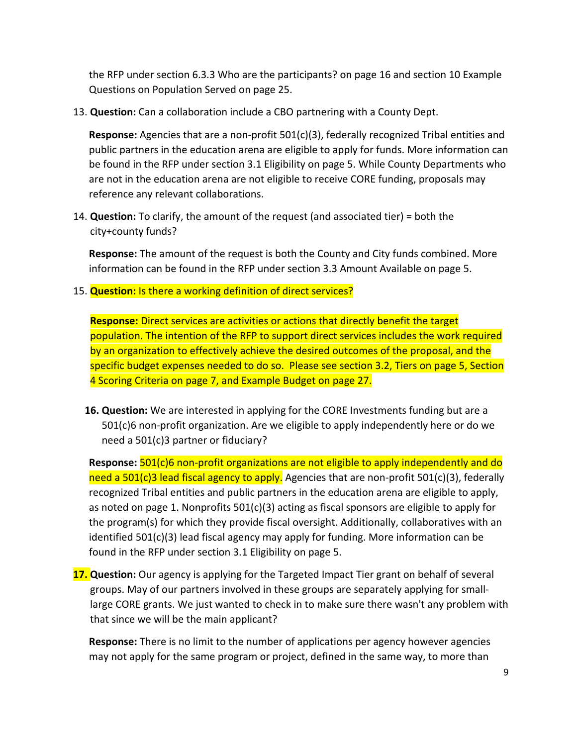the RFP under section 6.3.3 Who are the participants? on page 16 and section 10 Example Questions on Population Served on page 25.

13. **Question:** Can a collaboration include a CBO partnering with a County Dept.

**Response:** Agencies that are a non-profit 501(c)(3), federally recognized Tribal entities and public partners in the education arena are eligible to apply for funds. More information can be found in the RFP under section 3.1 Eligibility on page 5. While County Departments who are not in the education arena are not eligible to receive CORE funding, proposals may reference any relevant collaborations.

14. **Question:** To clarify, the amount of the request (and associated tier) = both the city+county funds?

**Response:** The amount of the request is both the County and City funds combined. More information can be found in the RFP under section 3.3 Amount Available on page 5.

15. **Question:** Is there a working definition of direct services?

**Response:** Direct services are activities or actions that directly benefit the target population. The intention of the RFP to support direct services includes the work required by an organization to effectively achieve the desired outcomes of the proposal, and the specific budget expenses needed to do so. Please see section 3.2, Tiers on page 5, Section 4 Scoring Criteria on page 7, and Example Budget on page 27.

**16. Question:** We are interested in applying for the CORE Investments funding but are a 501(c)6 non-profit organization. Are we eligible to apply independently here or do we need a 501(c)3 partner or fiduciary?

**Response:** 501(c)6 non-profit organizations are not eligible to apply independently and do need a 501(c)3 lead fiscal agency to apply. Agencies that are non-profit 501(c)(3), federally recognized Tribal entities and public partners in the education arena are eligible to apply, as noted on page 1. Nonprofits 501(c)(3) acting as fiscal sponsors are eligible to apply for the program(s) for which they provide fiscal oversight. Additionally, collaboratives with an identified 501(c)(3) lead fiscal agency may apply for funding. More information can be found in the RFP under section 3.1 Eligibility on page 5.

**17. Question:** Our agency is applying for the Targeted Impact Tier grant on behalf of several groups. May of our partners involved in these groups are separately applying for smalllarge CORE grants. We just wanted to check in to make sure there wasn't any problem with that since we will be the main applicant?

**Response:** There is no limit to the number of applications per agency however agencies may not apply for the same program or project, defined in the same way, to more than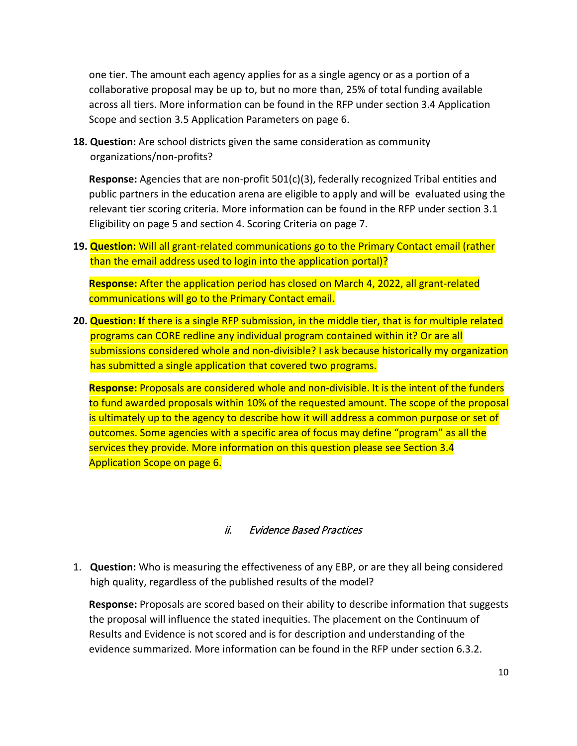one tier. The amount each agency applies for as a single agency or as a portion of a collaborative proposal may be up to, but no more than, 25% of total funding available across all tiers. More information can be found in the RFP under section 3.4 Application Scope and section 3.5 Application Parameters on page 6.

**18. Question:** Are school districts given the same consideration as community organizations/non-profits?

**Response:** Agencies that are non-profit 501(c)(3), federally recognized Tribal entities and public partners in the education arena are eligible to apply and will be evaluated using the relevant tier scoring criteria. More information can be found in the RFP under section 3.1 Eligibility on page 5 and section 4. Scoring Criteria on page 7.

**19. Question:** Will all grant-related communications go to the Primary Contact email (rather than the email address used to login into the application portal)?

**Response:** After the application period has closed on March 4, 2022, all grant-related communications will go to the Primary Contact email.

**20. Question: I**f there is a single RFP submission, in the middle tier, that is for multiple related programs can CORE redline any individual program contained within it? Or are all submissions considered whole and non-divisible? I ask because historically my organization has submitted a single application that covered two programs.

**Response:** Proposals are considered whole and non-divisible. It is the intent of the funders to fund awarded proposals within 10% of the requested amount. The scope of the proposal is ultimately up to the agency to describe how it will address a common purpose or set of outcomes. Some agencies with a specific area of focus may define "program" as all the services they provide. More information on this question please see Section 3.4 Application Scope on page 6.

#### ii. Evidence Based Practices

1. **Question:** Who is measuring the effectiveness of any EBP, or are they all being considered high quality, regardless of the published results of the model?

**Response:** Proposals are scored based on their ability to describe information that suggests the proposal will influence the stated inequities. The placement on the Continuum of Results and Evidence is not scored and is for description and understanding of the evidence summarized. More information can be found in the RFP under section 6.3.2.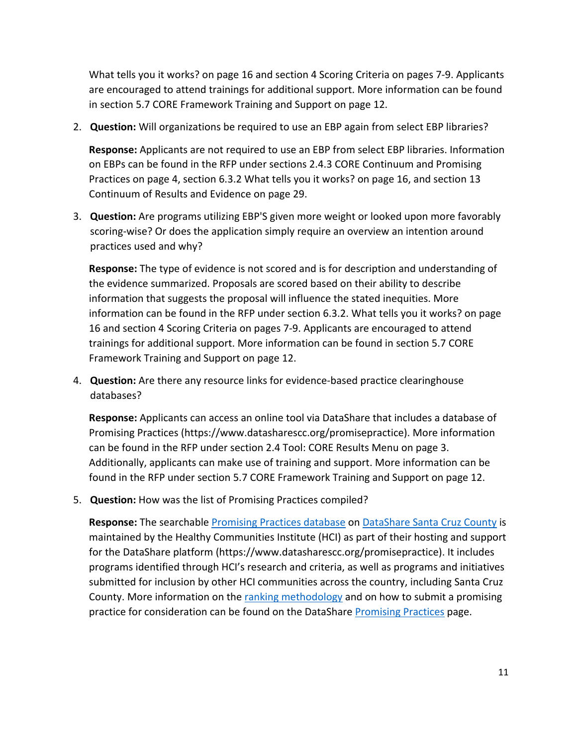What tells you it works? on page 16 and section 4 Scoring Criteria on pages 7-9. Applicants are encouraged to attend trainings for additional support. More information can be found in section 5.7 CORE Framework Training and Support on page 12.

2. **Question:** Will organizations be required to use an EBP again from select EBP libraries?

**Response:** Applicants are not required to use an EBP from select EBP libraries. Information on EBPs can be found in the RFP under sections 2.4.3 CORE Continuum and Promising Practices on page 4, section 6.3.2 What tells you it works? on page 16, and section 13 Continuum of Results and Evidence on page 29.

3. **Question:** Are programs utilizing EBP'S given more weight or looked upon more favorably scoring-wise? Or does the application simply require an overview an intention around practices used and why?

**Response:** The type of evidence is not scored and is for description and understanding of the evidence summarized. Proposals are scored based on their ability to describe information that suggests the proposal will influence the stated inequities. More information can be found in the RFP under section 6.3.2. What tells you it works? on page 16 and section 4 Scoring Criteria on pages 7-9. Applicants are encouraged to attend trainings for additional support. More information can be found in section 5.7 CORE Framework Training and Support on page 12.

4. **Question:** Are there any resource links for evidence-based practice clearinghouse databases?

**Response:** Applicants can access an online tool via DataShare that includes a database of Promising Practices (https://www.datasharescc.org/promisepractice). More information can be found in the RFP under section 2.4 Tool: CORE Results Menu on page 3. Additionally, applicants can make use of training and support. More information can be found in the RFP under section 5.7 CORE Framework Training and Support on page 12.

5. **Question:** How was the list of Promising Practices compiled?

Response: The searchable **Promising Practices database** on [DataShare Santa Cruz County](https://www.datasharescc.org/) is maintained by the Healthy Communities Institute (HCI) as part of their hosting and support for the DataShare platform (https://www.datasharescc.org/promisepractice). It includes programs identified through HCI's research and criteria, as well as programs and initiatives submitted for inclusion by other HCI communities across the country, including Santa Cruz County. More information on the [ranking methodology](https://www.datasharescc.org/promisepractice/index/rankingmethodology) and on how to submit a promising practice for consideration can be found on the DataShare [Promising Practices](https://www.datasharescc.org/promisepractice) page.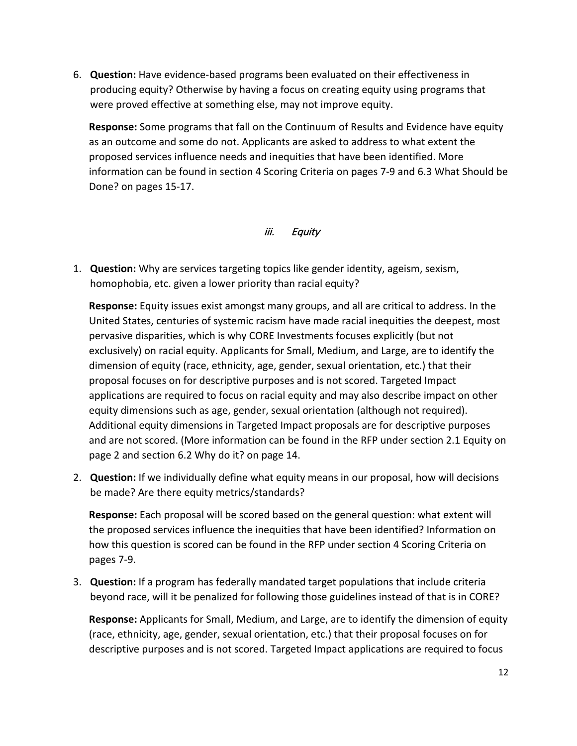6. **Question:** Have evidence-based programs been evaluated on their effectiveness in producing equity? Otherwise by having a focus on creating equity using programs that were proved effective at something else, may not improve equity.

**Response:** Some programs that fall on the Continuum of Results and Evidence have equity as an outcome and some do not. Applicants are asked to address to what extent the proposed services influence needs and inequities that have been identified. More information can be found in section 4 Scoring Criteria on pages 7-9 and 6.3 What Should be Done? on pages 15-17.

#### iii. Equity

1. **Question:** Why are services targeting topics like gender identity, ageism, sexism, homophobia, etc. given a lower priority than racial equity?

**Response:** Equity issues exist amongst many groups, and all are critical to address. In the United States, centuries of systemic racism have made racial inequities the deepest, most pervasive disparities, which is why CORE Investments focuses explicitly (but not exclusively) on racial equity. Applicants for Small, Medium, and Large, are to identify the dimension of equity (race, ethnicity, age, gender, sexual orientation, etc.) that their proposal focuses on for descriptive purposes and is not scored. Targeted Impact applications are required to focus on racial equity and may also describe impact on other equity dimensions such as age, gender, sexual orientation (although not required). Additional equity dimensions in Targeted Impact proposals are for descriptive purposes and are not scored. (More information can be found in the RFP under section 2.1 Equity on page 2 and section 6.2 Why do it? on page 14.

2. **Question:** If we individually define what equity means in our proposal, how will decisions be made? Are there equity metrics/standards?

**Response:** Each proposal will be scored based on the general question: what extent will the proposed services influence the inequities that have been identified? Information on how this question is scored can be found in the RFP under section 4 Scoring Criteria on pages 7-9.

3. **Question:** If a program has federally mandated target populations that include criteria beyond race, will it be penalized for following those guidelines instead of that is in CORE?

**Response:** Applicants for Small, Medium, and Large, are to identify the dimension of equity (race, ethnicity, age, gender, sexual orientation, etc.) that their proposal focuses on for descriptive purposes and is not scored. Targeted Impact applications are required to focus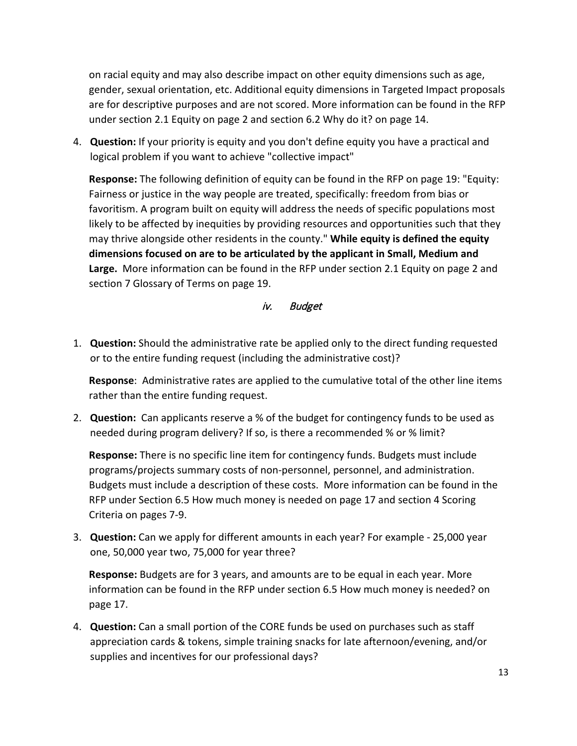on racial equity and may also describe impact on other equity dimensions such as age, gender, sexual orientation, etc. Additional equity dimensions in Targeted Impact proposals are for descriptive purposes and are not scored. More information can be found in the RFP under section 2.1 Equity on page 2 and section 6.2 Why do it? on page 14.

4. **Question:** If your priority is equity and you don't define equity you have a practical and logical problem if you want to achieve "collective impact"

**Response:** The following definition of equity can be found in the RFP on page 19: "Equity: Fairness or justice in the way people are treated, specifically: freedom from bias or favoritism. A program built on equity will address the needs of specific populations most likely to be affected by inequities by providing resources and opportunities such that they may thrive alongside other residents in the county." **While equity is defined the equity dimensions focused on are to be articulated by the applicant in Small, Medium and Large.** More information can be found in the RFP under section 2.1 Equity on page 2 and section 7 Glossary of Terms on page 19.

#### iv. Budget

1. **Question:** Should the administrative rate be applied only to the direct funding requested or to the entire funding request (including the administrative cost)?

**Response**: Administrative rates are applied to the cumulative total of the other line items rather than the entire funding request.

2. **Question:** Can applicants reserve a % of the budget for contingency funds to be used as needed during program delivery? If so, is there a recommended % or % limit?

**Response:** There is no specific line item for contingency funds. Budgets must include programs/projects summary costs of non-personnel, personnel, and administration. Budgets must include a description of these costs. More information can be found in the RFP under Section 6.5 How much money is needed on page 17 and section 4 Scoring Criteria on pages 7-9.

3. **Question:** Can we apply for different amounts in each year? For example - 25,000 year one, 50,000 year two, 75,000 for year three?

**Response:** Budgets are for 3 years, and amounts are to be equal in each year. More information can be found in the RFP under section 6.5 How much money is needed? on page 17.

4. **Question:** Can a small portion of the CORE funds be used on purchases such as staff appreciation cards & tokens, simple training snacks for late afternoon/evening, and/or supplies and incentives for our professional days?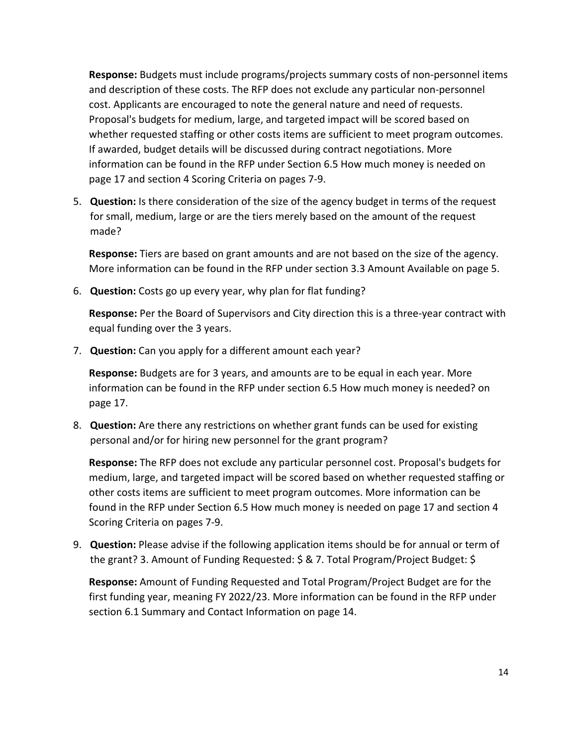**Response:** Budgets must include programs/projects summary costs of non-personnel items and description of these costs. The RFP does not exclude any particular non-personnel cost. Applicants are encouraged to note the general nature and need of requests. Proposal's budgets for medium, large, and targeted impact will be scored based on whether requested staffing or other costs items are sufficient to meet program outcomes. If awarded, budget details will be discussed during contract negotiations. More information can be found in the RFP under Section 6.5 How much money is needed on page 17 and section 4 Scoring Criteria on pages 7-9.

5. **Question:** Is there consideration of the size of the agency budget in terms of the request for small, medium, large or are the tiers merely based on the amount of the request made?

**Response:** Tiers are based on grant amounts and are not based on the size of the agency. More information can be found in the RFP under section 3.3 Amount Available on page 5.

6. **Question:** Costs go up every year, why plan for flat funding?

**Response:** Per the Board of Supervisors and City direction this is a three-year contract with equal funding over the 3 years.

7. **Question:** Can you apply for a different amount each year?

**Response:** Budgets are for 3 years, and amounts are to be equal in each year. More information can be found in the RFP under section 6.5 How much money is needed? on page 17.

8. **Question:** Are there any restrictions on whether grant funds can be used for existing personal and/or for hiring new personnel for the grant program?

**Response:** The RFP does not exclude any particular personnel cost. Proposal's budgets for medium, large, and targeted impact will be scored based on whether requested staffing or other costs items are sufficient to meet program outcomes. More information can be found in the RFP under Section 6.5 How much money is needed on page 17 and section 4 Scoring Criteria on pages 7-9.

9. **Question:** Please advise if the following application items should be for annual or term of the grant? 3. Amount of Funding Requested: \$ & 7. Total Program/Project Budget: \$

**Response:** Amount of Funding Requested and Total Program/Project Budget are for the first funding year, meaning FY 2022/23. More information can be found in the RFP under section 6.1 Summary and Contact Information on page 14.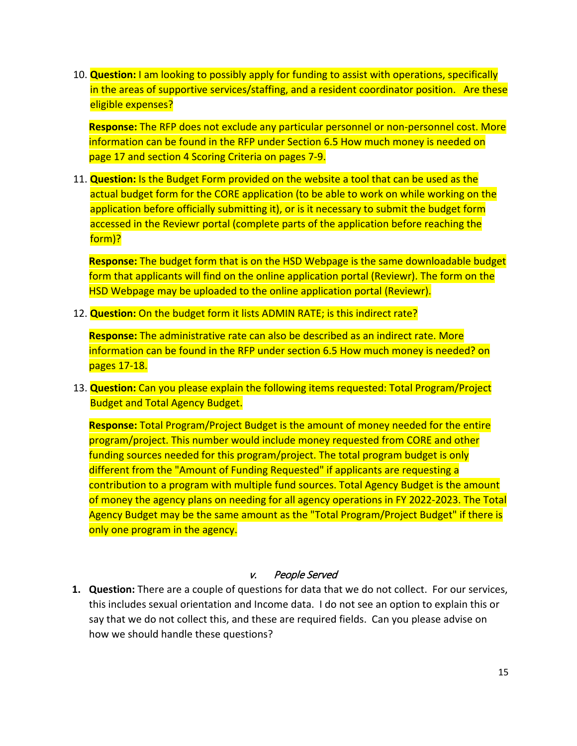10. **Question:** I am looking to possibly apply for funding to assist with operations, specifically in the areas of supportive services/staffing, and a resident coordinator position. Are these eligible expenses?

**Response:** The RFP does not exclude any particular personnel or non-personnel cost. More information can be found in the RFP under Section 6.5 How much money is needed on page 17 and section 4 Scoring Criteria on pages 7-9.

11. **Question:** Is the Budget Form provided on the website a tool that can be used as the actual budget form for the CORE application (to be able to work on while working on the application before officially submitting it), or is it necessary to submit the budget form accessed in the Reviewr portal (complete parts of the application before reaching the form)?

**Response:** The budget form that is on the HSD Webpage is the same downloadable budget form that applicants will find on the online application portal (Reviewr). The form on the HSD Webpage may be uploaded to the online application portal (Reviewr).

12. **Question:** On the budget form it lists ADMIN RATE; is this indirect rate?

**Response:** The administrative rate can also be described as an indirect rate. More information can be found in the RFP under section 6.5 How much money is needed? on pages 17-18.

13. **Question:** Can you please explain the following items requested: Total Program/Project Budget and Total Agency Budget.

**Response:** Total Program/Project Budget is the amount of money needed for the entire program/project. This number would include money requested from CORE and other funding sources needed for this program/project. The total program budget is only different from the "Amount of Funding Requested" if applicants are requesting a contribution to a program with multiple fund sources. Total Agency Budget is the amount of money the agency plans on needing for all agency operations in FY 2022-2023. The Total Agency Budget may be the same amount as the "Total Program/Project Budget" if there is only one program in the agency.

#### v. People Served

**1. Question:** There are a couple of questions for data that we do not collect. For our services, this includes sexual orientation and Income data. I do not see an option to explain this or say that we do not collect this, and these are required fields. Can you please advise on how we should handle these questions?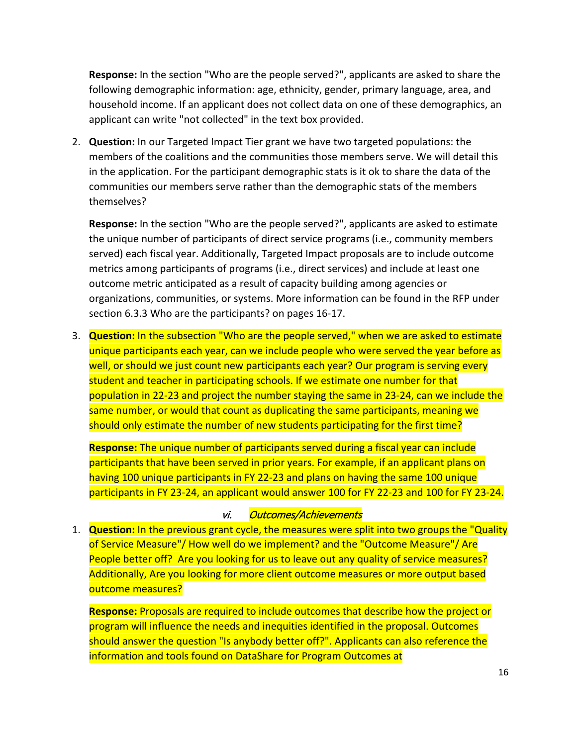**Response:** In the section "Who are the people served?", applicants are asked to share the following demographic information: age, ethnicity, gender, primary language, area, and household income. If an applicant does not collect data on one of these demographics, an applicant can write "not collected" in the text box provided.

2. **Question:** In our Targeted Impact Tier grant we have two targeted populations: the members of the coalitions and the communities those members serve. We will detail this in the application. For the participant demographic stats is it ok to share the data of the communities our members serve rather than the demographic stats of the members themselves?

**Response:** In the section "Who are the people served?", applicants are asked to estimate the unique number of participants of direct service programs (i.e., community members served) each fiscal year. Additionally, Targeted Impact proposals are to include outcome metrics among participants of programs (i.e., direct services) and include at least one outcome metric anticipated as a result of capacity building among agencies or organizations, communities, or systems. More information can be found in the RFP under section 6.3.3 Who are the participants? on pages 16-17.

3. **Question:** In the subsection "Who are the people served," when we are asked to estimate unique participants each year, can we include people who were served the year before as well, or should we just count new participants each year? Our program is serving every student and teacher in participating schools. If we estimate one number for that population in 22-23 and project the number staying the same in 23-24, can we include the same number, or would that count as duplicating the same participants, meaning we should only estimate the number of new students participating for the first time?

**Response:** The unique number of participants served during a fiscal year can include participants that have been served in prior years. For example, if an applicant plans on having 100 unique participants in FY 22-23 and plans on having the same 100 unique participants in FY 23-24, an applicant would answer 100 for FY 22-23 and 100 for FY 23-24.

#### vi. Outcomes/Achievements

1. **Question:** In the previous grant cycle, the measures were split into two groups the "Quality of Service Measure"/ How well do we implement? and the "Outcome Measure"/ Are People better off? Are you looking for us to leave out any quality of service measures? Additionally, Are you looking for more client outcome measures or more output based outcome measures?

**Response:** Proposals are required to include outcomes that describe how the project or program will influence the needs and inequities identified in the proposal. Outcomes should answer the question "Is anybody better off?". Applicants can also reference the information and tools found on DataShare for Program Outcomes at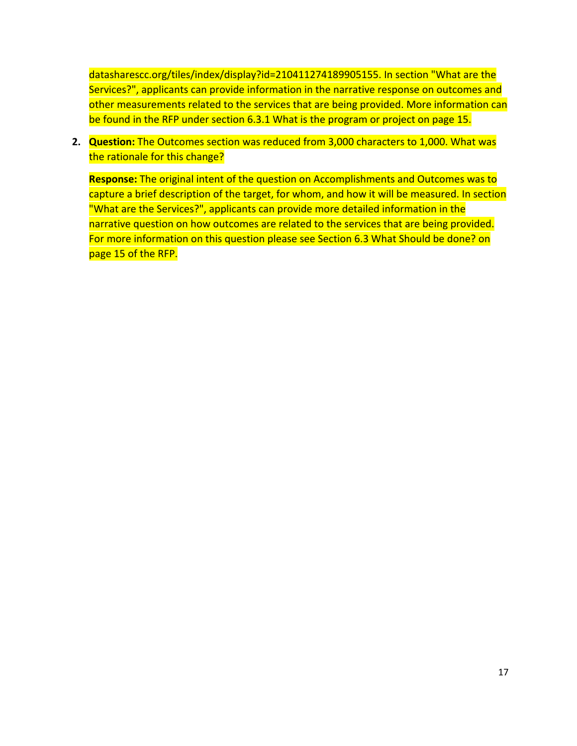datasharescc.org/tiles/index/display?id=210411274189905155. In section "What are the Services?", applicants can provide information in the narrative response on outcomes and other measurements related to the services that are being provided. More information can be found in the RFP under section 6.3.1 What is the program or project on page 15.

**2. Question:** The Outcomes section was reduced from 3,000 characters to 1,000. What was the rationale for this change?

**Response:** The original intent of the question on Accomplishments and Outcomes was to capture a brief description of the target, for whom, and how it will be measured. In section "What are the Services?", applicants can provide more detailed information in the narrative question on how outcomes are related to the services that are being provided. For more information on this question please see Section 6.3 What Should be done? on page 15 of the RFP.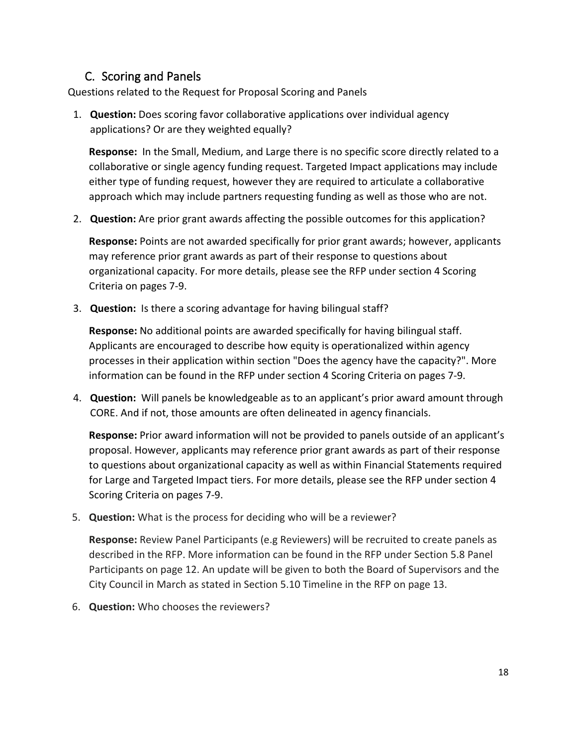## C. Scoring and Panels

Questions related to the Request for Proposal Scoring and Panels

1. **Question:** Does scoring favor collaborative applications over individual agency applications? Or are they weighted equally?

**Response:** In the Small, Medium, and Large there is no specific score directly related to a collaborative or single agency funding request. Targeted Impact applications may include either type of funding request, however they are required to articulate a collaborative approach which may include partners requesting funding as well as those who are not.

2. **Question:** Are prior grant awards affecting the possible outcomes for this application?

**Response:** Points are not awarded specifically for prior grant awards; however, applicants may reference prior grant awards as part of their response to questions about organizational capacity. For more details, please see the RFP under section 4 Scoring Criteria on pages 7-9.

3. **Question:** Is there a scoring advantage for having bilingual staff?

**Response:** No additional points are awarded specifically for having bilingual staff. Applicants are encouraged to describe how equity is operationalized within agency processes in their application within section "Does the agency have the capacity?". More information can be found in the RFP under section 4 Scoring Criteria on pages 7-9.

4. **Question:** Will panels be knowledgeable as to an applicant's prior award amount through CORE. And if not, those amounts are often delineated in agency financials.

**Response:** Prior award information will not be provided to panels outside of an applicant's proposal. However, applicants may reference prior grant awards as part of their response to questions about organizational capacity as well as within Financial Statements required for Large and Targeted Impact tiers. For more details, please see the RFP under section 4 Scoring Criteria on pages 7-9.

5. **Question:** What is the process for deciding who will be a reviewer?

**Response:** Review Panel Participants (e.g Reviewers) will be recruited to create panels as described in the RFP. More information can be found in the RFP under Section 5.8 Panel Participants on page 12. An update will be given to both the Board of Supervisors and the City Council in March as stated in Section 5.10 Timeline in the RFP on page 13.

6. **Question:** Who chooses the reviewers?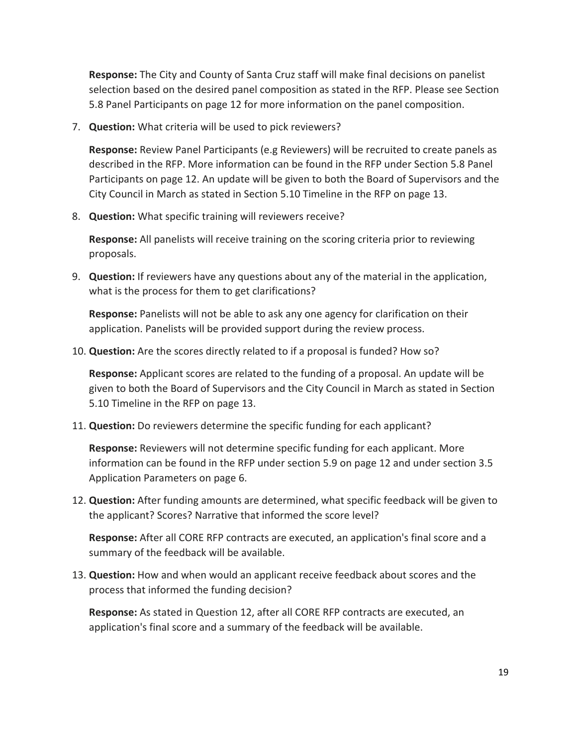**Response:** The City and County of Santa Cruz staff will make final decisions on panelist selection based on the desired panel composition as stated in the RFP. Please see Section 5.8 Panel Participants on page 12 for more information on the panel composition.

7. **Question:** What criteria will be used to pick reviewers?

**Response:** Review Panel Participants (e.g Reviewers) will be recruited to create panels as described in the RFP. More information can be found in the RFP under Section 5.8 Panel Participants on page 12. An update will be given to both the Board of Supervisors and the City Council in March as stated in Section 5.10 Timeline in the RFP on page 13.

8. **Question:** What specific training will reviewers receive?

**Response:** All panelists will receive training on the scoring criteria prior to reviewing proposals.

9. **Question:** If reviewers have any questions about any of the material in the application, what is the process for them to get clarifications?

**Response:** Panelists will not be able to ask any one agency for clarification on their application. Panelists will be provided support during the review process.

10. **Question:** Are the scores directly related to if a proposal is funded? How so?

**Response:** Applicant scores are related to the funding of a proposal. An update will be given to both the Board of Supervisors and the City Council in March as stated in Section 5.10 Timeline in the RFP on page 13.

11. **Question:** Do reviewers determine the specific funding for each applicant?

**Response:** Reviewers will not determine specific funding for each applicant. More information can be found in the RFP under section 5.9 on page 12 and under section 3.5 Application Parameters on page 6.

12. **Question:** After funding amounts are determined, what specific feedback will be given to the applicant? Scores? Narrative that informed the score level?

**Response:** After all CORE RFP contracts are executed, an application's final score and a summary of the feedback will be available.

13. **Question:** How and when would an applicant receive feedback about scores and the process that informed the funding decision?

**Response:** As stated in Question 12, after all CORE RFP contracts are executed, an application's final score and a summary of the feedback will be available.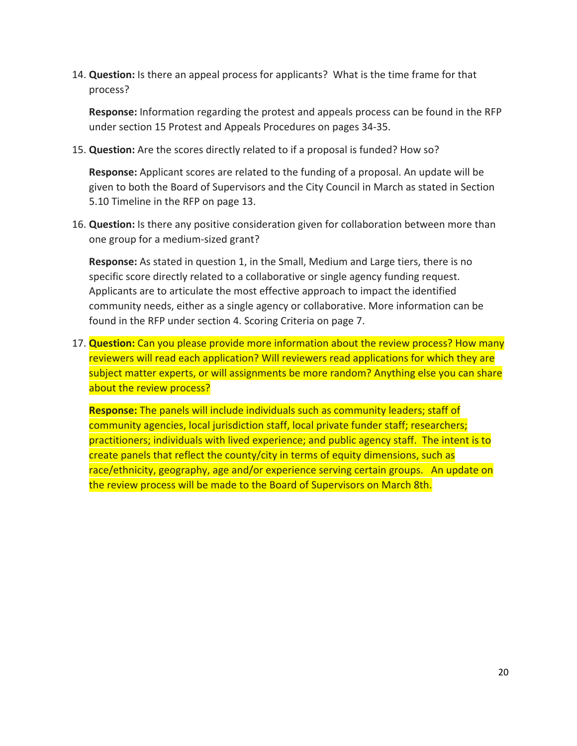14. **Question:** Is there an appeal process for applicants? What is the time frame for that process?

**Response:** Information regarding the protest and appeals process can be found in the RFP under section 15 Protest and Appeals Procedures on pages 34-35.

15. **Question:** Are the scores directly related to if a proposal is funded? How so?

**Response:** Applicant scores are related to the funding of a proposal. An update will be given to both the Board of Supervisors and the City Council in March as stated in Section 5.10 Timeline in the RFP on page 13.

16. **Question:** Is there any positive consideration given for collaboration between more than one group for a medium-sized grant?

**Response:** As stated in question 1, in the Small, Medium and Large tiers, there is no specific score directly related to a collaborative or single agency funding request. Applicants are to articulate the most effective approach to impact the identified community needs, either as a single agency or collaborative. More information can be found in the RFP under section 4. Scoring Criteria on page 7.

17. **Question:** Can you please provide more information about the review process? How many reviewers will read each application? Will reviewers read applications for which they are subject matter experts, or will assignments be more random? Anything else you can share about the review process?

**Response:** The panels will include individuals such as community leaders; staff of community agencies, local jurisdiction staff, local private funder staff; researchers; practitioners; individuals with lived experience; and public agency staff. The intent is to create panels that reflect the county/city in terms of equity dimensions, such as race/ethnicity, geography, age and/or experience serving certain groups. An update on the review process will be made to the Board of Supervisors on March 8th.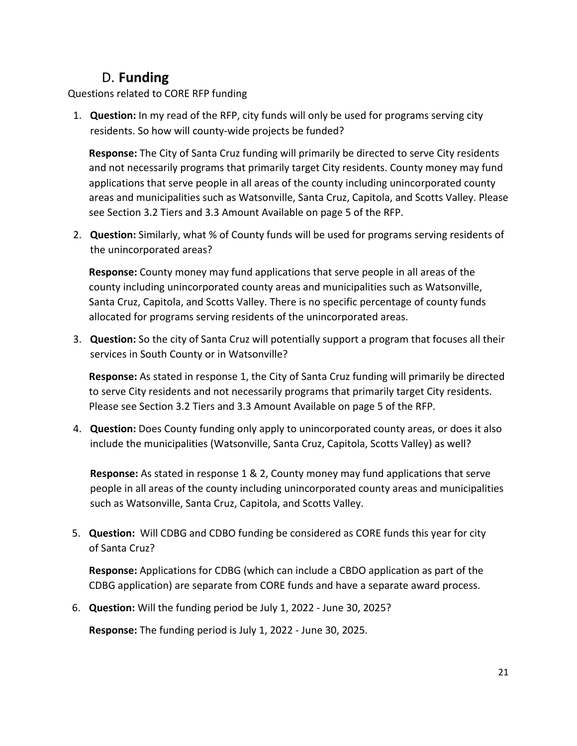## D. **Funding**

Questions related to CORE RFP funding

1. **Question:** In my read of the RFP, city funds will only be used for programs serving city residents. So how will county-wide projects be funded?

**Response:** The City of Santa Cruz funding will primarily be directed to serve City residents and not necessarily programs that primarily target City residents. County money may fund applications that serve people in all areas of the county including unincorporated county areas and municipalities such as Watsonville, Santa Cruz, Capitola, and Scotts Valley. Please see Section 3.2 Tiers and 3.3 Amount Available on page 5 of the RFP.

2. **Question:** Similarly, what % of County funds will be used for programs serving residents of the unincorporated areas?

**Response:** County money may fund applications that serve people in all areas of the county including unincorporated county areas and municipalities such as Watsonville, Santa Cruz, Capitola, and Scotts Valley. There is no specific percentage of county funds allocated for programs serving residents of the unincorporated areas.

3. **Question:** So the city of Santa Cruz will potentially support a program that focuses all their services in South County or in Watsonville?

**Response:** As stated in response 1, the City of Santa Cruz funding will primarily be directed to serve City residents and not necessarily programs that primarily target City residents. Please see Section 3.2 Tiers and 3.3 Amount Available on page 5 of the RFP.

4. **Question:** Does County funding only apply to unincorporated county areas, or does it also include the municipalities (Watsonville, Santa Cruz, Capitola, Scotts Valley) as well?

**Response:** As stated in response 1 & 2, County money may fund applications that serve people in all areas of the county including unincorporated county areas and municipalities such as Watsonville, Santa Cruz, Capitola, and Scotts Valley.

5. **Question:** Will CDBG and CDBO funding be considered as CORE funds this year for city of Santa Cruz?

**Response:** Applications for CDBG (which can include a CBDO application as part of the CDBG application) are separate from CORE funds and have a separate award process.

6. **Question:** Will the funding period be July 1, 2022 - June 30, 2025?

**Response:** The funding period is July 1, 2022 - June 30, 2025.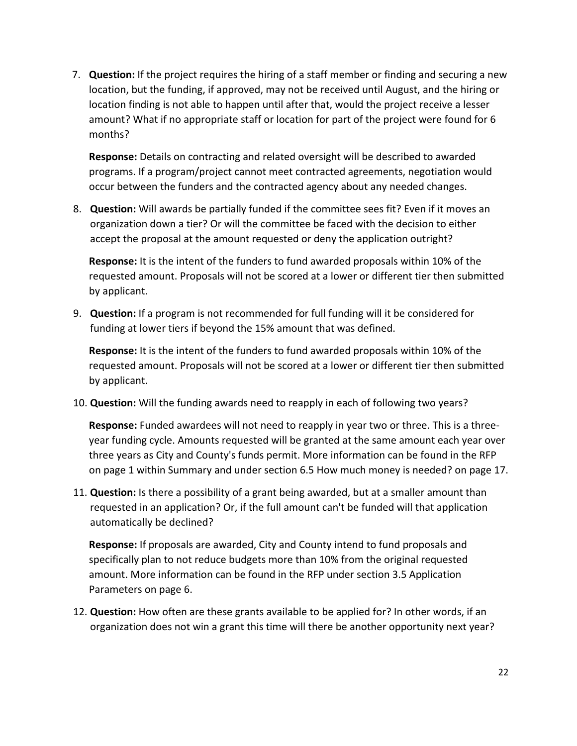7. **Question:** If the project requires the hiring of a staff member or finding and securing a new location, but the funding, if approved, may not be received until August, and the hiring or location finding is not able to happen until after that, would the project receive a lesser amount? What if no appropriate staff or location for part of the project were found for 6 months?

**Response:** Details on contracting and related oversight will be described to awarded programs. If a program/project cannot meet contracted agreements, negotiation would occur between the funders and the contracted agency about any needed changes.

8. **Question:** Will awards be partially funded if the committee sees fit? Even if it moves an organization down a tier? Or will the committee be faced with the decision to either accept the proposal at the amount requested or deny the application outright?

**Response:** It is the intent of the funders to fund awarded proposals within 10% of the requested amount. Proposals will not be scored at a lower or different tier then submitted by applicant.

9. **Question:** If a program is not recommended for full funding will it be considered for funding at lower tiers if beyond the 15% amount that was defined.

**Response:** It is the intent of the funders to fund awarded proposals within 10% of the requested amount. Proposals will not be scored at a lower or different tier then submitted by applicant.

10. **Question:** Will the funding awards need to reapply in each of following two years?

**Response:** Funded awardees will not need to reapply in year two or three. This is a threeyear funding cycle. Amounts requested will be granted at the same amount each year over three years as City and County's funds permit. More information can be found in the RFP on page 1 within Summary and under section 6.5 How much money is needed? on page 17.

11. **Question:** Is there a possibility of a grant being awarded, but at a smaller amount than requested in an application? Or, if the full amount can't be funded will that application automatically be declined?

**Response:** If proposals are awarded, City and County intend to fund proposals and specifically plan to not reduce budgets more than 10% from the original requested amount. More information can be found in the RFP under section 3.5 Application Parameters on page 6.

12. **Question:** How often are these grants available to be applied for? In other words, if an organization does not win a grant this time will there be another opportunity next year?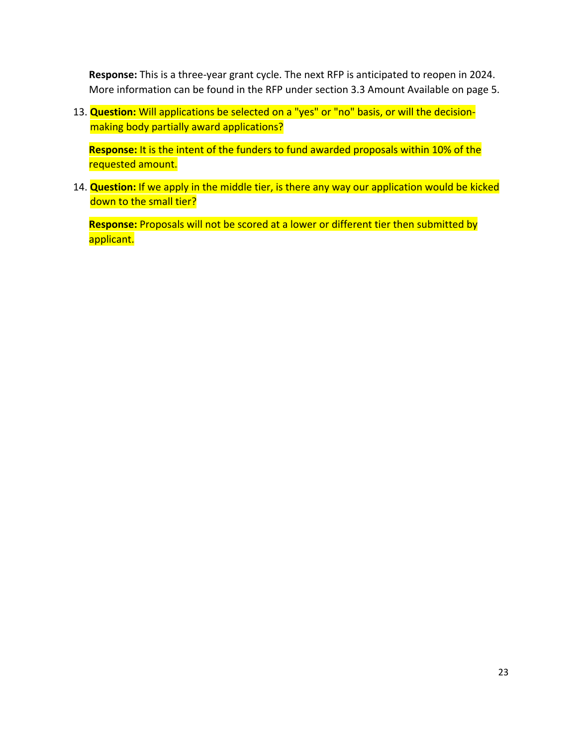**Response:** This is a three-year grant cycle. The next RFP is anticipated to reopen in 2024. More information can be found in the RFP under section 3.3 Amount Available on page 5.

13. **Question:** Will applications be selected on a "yes" or "no" basis, or will the decisionmaking body partially award applications?

**Response:** It is the intent of the funders to fund awarded proposals within 10% of the requested amount.

14. **Question:** If we apply in the middle tier, is there any way our application would be kicked down to the small tier?

**Response:** Proposals will not be scored at a lower or different tier then submitted by applicant.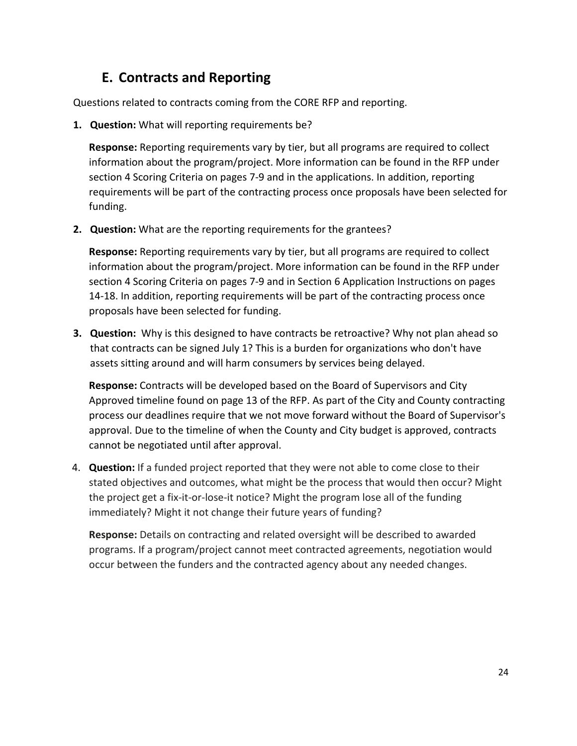# **E. Contracts and Reporting**

Questions related to contracts coming from the CORE RFP and reporting.

**1. Question:** What will reporting requirements be?

**Response:** Reporting requirements vary by tier, but all programs are required to collect information about the program/project. More information can be found in the RFP under section 4 Scoring Criteria on pages 7-9 and in the applications. In addition, reporting requirements will be part of the contracting process once proposals have been selected for funding.

**2. Question:** What are the reporting requirements for the grantees?

**Response:** Reporting requirements vary by tier, but all programs are required to collect information about the program/project. More information can be found in the RFP under section 4 Scoring Criteria on pages 7-9 and in Section 6 Application Instructions on pages 14-18. In addition, reporting requirements will be part of the contracting process once proposals have been selected for funding.

**3. Question:** Why is this designed to have contracts be retroactive? Why not plan ahead so that contracts can be signed July 1? This is a burden for organizations who don't have assets sitting around and will harm consumers by services being delayed.

**Response:** Contracts will be developed based on the Board of Supervisors and City Approved timeline found on page 13 of the RFP. As part of the City and County contracting process our deadlines require that we not move forward without the Board of Supervisor's approval. Due to the timeline of when the County and City budget is approved, contracts cannot be negotiated until after approval.

4. **Question:** If a funded project reported that they were not able to come close to their stated objectives and outcomes, what might be the process that would then occur? Might the project get a fix-it-or-lose-it notice? Might the program lose all of the funding immediately? Might it not change their future years of funding?

**Response:** Details on contracting and related oversight will be described to awarded programs. If a program/project cannot meet contracted agreements, negotiation would occur between the funders and the contracted agency about any needed changes.